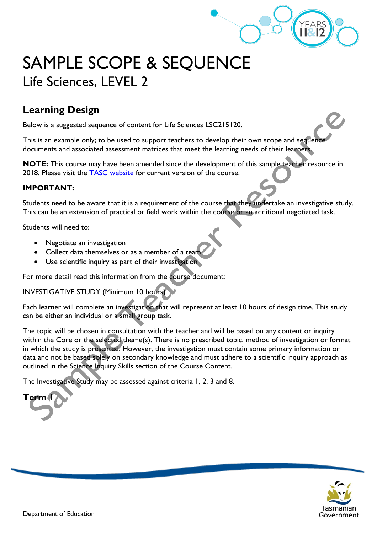

# SAMPLE SCOPE & SEQUENCE Life Sciences, LEVEL 2

# **Learning Design**

Below is a suggested sequence of content for Life Sciences LSC215120.

This is an example only; to be used to support teachers to develop their own scope and sequence documents and associated assessment matrices that meet the learning needs of their learners.

**NOTE:** This course may have been amended since the development of this sample teacher resource in 2018. Please visit the **TASC** website for current version of the course.

#### **IMPORTANT:**

Students need to be aware that it is a requirement of the course that they undertake an investigative study. This can be an extension of practical or field work within the course or an additional negotiated task.

Students will need to:

- Negotiate an investigation
- Collect data themselves or as a member of a team
- Use scientific inquiry as part of their investigation

For more detail read this information from the course document:

INVESTIGATIVE STUDY (Minimum 10 hours)

Each learner will complete an investigation that will represent at least 10 hours of design time. This study can be either an individual or a small group task.

The topic will be chosen in consultation with the teacher and will be based on any content or inquiry within the Core or the selected theme(s). There is no prescribed topic, method of investigation or format in which the study is presented. However, the investigation must contain some primary information or data and not be based solely on secondary knowledge and must adhere to a scientific inquiry approach as outlined in the Science Inquiry Skills section of the Course Content.

The Investigative Study may be assessed against criteria 1, 2, 3 and 8.

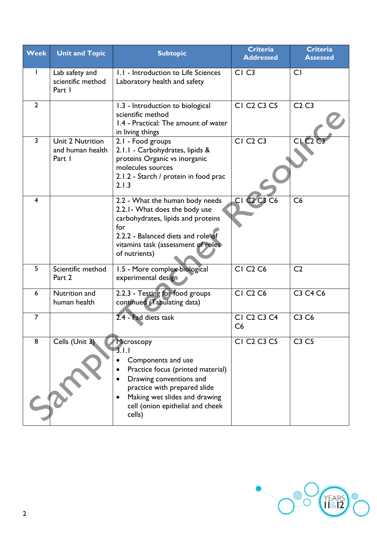| <b>Week</b>    | <b>Unit and Topic</b>                          | <b>Subtopic</b>                                                                                                                                                                                                          | <b>Criteria</b><br><b>Addressed</b>                   | <b>Criteria</b><br><b>Assessed</b> |
|----------------|------------------------------------------------|--------------------------------------------------------------------------------------------------------------------------------------------------------------------------------------------------------------------------|-------------------------------------------------------|------------------------------------|
|                | Lab safety and<br>scientific method<br>Part I  | 1.1 - Introduction to Life Sciences<br>Laboratory health and safety                                                                                                                                                      | CI <sub>C3</sub>                                      | <b>CI</b>                          |
| $\overline{2}$ |                                                | 1.3 - Introduction to biological<br>scientific method<br>1.4 - Practical: The amount of water<br>in living things                                                                                                        | CI C <sub>2</sub> C <sub>3</sub> C <sub>5</sub>       | C2C3                               |
| $\overline{3}$ | Unit 2 Nutrition<br>and human health<br>Part I | 2.1 - Food groups<br>2.1.1 - Carbohydrates, lipids &<br>proteins Organic vs inorganic<br>molecules sources<br>2.1.2 - Starch / protein in food prac<br>2.1.3                                                             | <b>CI C<sub>2</sub> C<sub>3</sub></b>                 | CIC2                               |
| $\overline{4}$ |                                                | 2.2 - What the human body needs<br>2.2.1- What does the body use<br>carbohydrates, lipids and proteins<br>for<br>2.2.2 - Balanced diets and role of<br>vitamins task (assessment of roles)<br>of nutrients)              | CI C <sub>2</sub> C <sub>3</sub> C <sub>6</sub>       | C6                                 |
| 5              | Scientific method<br>Part 2                    | 1.5 - More complex biological<br>experimental design                                                                                                                                                                     | <b>CI C<sub>2</sub> C<sub>6</sub></b>                 | C <sub>2</sub>                     |
| 6              | Nutrition and<br>human health                  | 2.2.3 - Testing for food groups<br>continued (Tabulating data)                                                                                                                                                           | <b>CI C<sub>2</sub> C<sub>6</sub></b>                 | C3 C4 C6                           |
| $\overline{7}$ |                                                | 2.4 - Fad diets task                                                                                                                                                                                                     | CI C <sub>2</sub> C <sub>3</sub> C <sub>4</sub><br>C6 | C3 C6                              |
| 8              | Cells (Unit 3)                                 | Microscopy<br>3.1.1<br>Components and use<br>Practice focus (printed material)<br>Drawing conventions and<br>practice with prepared slide<br>Making wet slides and drawing<br>cell (onion epithelial and cheek<br>cells) | CI C <sub>2</sub> C <sub>3</sub> C <sub>5</sub>       | C3C5                               |

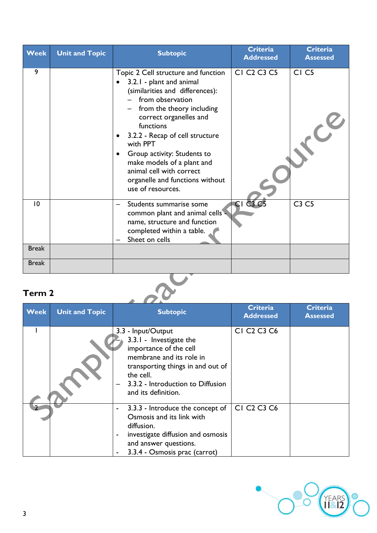| <b>Week</b>  | <b>Unit and Topic</b> | <b>Subtopic</b>                                                                                                                                                                                                                                                                                                                                                                                         | <b>Criteria</b><br><b>Addressed</b>             | <b>Criteria</b><br><b>Assessed</b> |
|--------------|-----------------------|---------------------------------------------------------------------------------------------------------------------------------------------------------------------------------------------------------------------------------------------------------------------------------------------------------------------------------------------------------------------------------------------------------|-------------------------------------------------|------------------------------------|
| 9            |                       | Topic 2 Cell structure and function<br>3.2.1 - plant and animal<br>(similarities and differences):<br>from observation<br>from the theory including<br>correct organelles and<br>functions<br>3.2.2 - Recap of cell structure<br>with PPT<br>Group activity: Students to<br>$\bullet$<br>make models of a plant and<br>animal cell with correct<br>organelle and functions without<br>use of resources. | CI C <sub>2</sub> C <sub>3</sub> C <sub>5</sub> | CI <sub>C5</sub>                   |
| 10           |                       | Students summarise some<br>common plant and animal cells -<br>name, structure and function<br>completed within a table.<br>Sheet on cells                                                                                                                                                                                                                                                               | $CI$ $C3$                                       | C3 C5                              |
| <b>Break</b> |                       |                                                                                                                                                                                                                                                                                                                                                                                                         |                                                 |                                    |
| <b>Break</b> |                       |                                                                                                                                                                                                                                                                                                                                                                                                         |                                                 |                                    |

| <b>Week</b> | <b>Unit and Topic</b> | <b>Subtopic</b>                                                                                                                                                                                                   | <b>Criteria</b><br><b>Addressed</b>             | <b>Criteria</b><br><b>Assessed</b> |
|-------------|-----------------------|-------------------------------------------------------------------------------------------------------------------------------------------------------------------------------------------------------------------|-------------------------------------------------|------------------------------------|
|             |                       | 3.3 - Input/Output<br>3.3.1 - Investigate the<br>importance of the cell<br>membrane and its role in<br>transporting things in and out of<br>the cell.<br>3.3.2 - Introduction to Diffusion<br>and its definition. | CI C <sub>2</sub> C <sub>3</sub> C <sub>6</sub> |                                    |
|             |                       | 3.3.3 - Introduce the concept of<br>Osmosis and its link with<br>diffusion.<br>investigate diffusion and osmosis<br>and answer questions.<br>3.3.4 - Osmosis prac (carrot)                                        | CI C <sub>2</sub> C <sub>3</sub> C <sub>6</sub> |                                    |

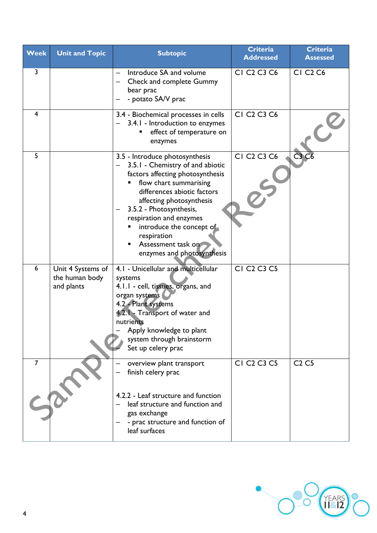| Week           | <b>Unit and Topic</b>                             | <b>Subtopic</b>                                                                                                                                                                                                                                                                                                                                       | <b>Criteria</b><br><b>Addressed</b>             | <b>Criteria</b><br><b>Assessed</b>    |
|----------------|---------------------------------------------------|-------------------------------------------------------------------------------------------------------------------------------------------------------------------------------------------------------------------------------------------------------------------------------------------------------------------------------------------------------|-------------------------------------------------|---------------------------------------|
| 3              |                                                   | Introduce SA and volume<br><b>Check and complete Gummy</b><br>bear prac<br>- potato SA/V prac                                                                                                                                                                                                                                                         | CI C <sub>2</sub> C <sub>3</sub> C <sub>6</sub> | <b>CI C<sub>2</sub> C<sub>6</sub></b> |
| 4              |                                                   | 3.4 - Biochemical processes in cells<br>3.4.1 - Introduction to enzymes<br>effect of temperature on<br>enzymes                                                                                                                                                                                                                                        | CI C <sub>2</sub> C <sub>3</sub> C <sub>6</sub> |                                       |
| 5              |                                                   | 3.5 - Introduce photosynthesis<br>3.5.1 - Chemistry of and abiotic<br>factors affecting photosynthesis<br>flow chart summarising<br>differences abiotic factors<br>affecting photosynthesis<br>3.5.2 - Photosynthesis,<br>respiration and enzymes<br>introduce the concept of<br>respiration<br>Assessment task on<br>٠<br>enzymes and photosynthesis | CI C <sub>2</sub> C <sub>3</sub> C <sub>6</sub> | C3C6                                  |
| 6              | Unit 4 Systems of<br>the human body<br>and plants | 4.1 - Unicellular and multicellular<br>systems<br>4.1.1 - cell, tissues, organs, and<br>organ systems<br>4.2 - Plant systems<br>4.2.1 - Transport of water and<br>nutrients<br>Apply knowledge to plant<br>system through brainstorm<br>Set up celery prac                                                                                            | CI C <sub>2</sub> C <sub>3</sub> C <sub>5</sub> |                                       |
| $\overline{7}$ |                                                   | overview plant transport<br>finish celery prac<br>4.2.2 - Leaf structure and function<br>leaf structure and function and<br>gas exchange<br>- prac structure and function of<br>leaf surfaces                                                                                                                                                         | CI C <sub>2</sub> C <sub>3</sub> C <sub>5</sub> | C <sub>2</sub> C <sub>5</sub>         |

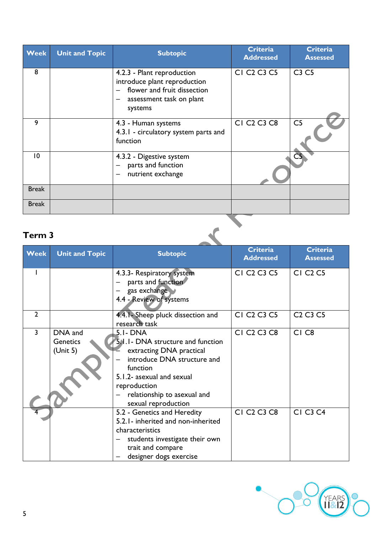| <b>Week</b>  | <b>Unit and Topic</b> | <b>Subtopic</b>                                                                                                                                              | <b>Criteria</b><br><b>Addressed</b>             | <b>Criteria</b><br><b>Assessed</b> |
|--------------|-----------------------|--------------------------------------------------------------------------------------------------------------------------------------------------------------|-------------------------------------------------|------------------------------------|
| 8            |                       | 4.2.3 - Plant reproduction<br>introduce plant reproduction<br>flower and fruit dissection<br>$\overline{\phantom{a}}$<br>assessment task on plant<br>systems | CI C <sub>2</sub> C <sub>3</sub> C <sub>5</sub> | C3 C5                              |
| 9            |                       | 4.3 - Human systems<br>4.3.1 - circulatory system parts and<br>function                                                                                      | CI C <sub>2</sub> C <sub>3</sub> C <sub>8</sub> | C <sub>5</sub>                     |
| 10           |                       | 4.3.2 - Digestive system<br>parts and function<br>nutrient exchange                                                                                          |                                                 |                                    |
| <b>Break</b> |                       |                                                                                                                                                              |                                                 |                                    |
| <b>Break</b> |                       |                                                                                                                                                              |                                                 |                                    |

| <b>Week</b>    | <b>Unit and Topic</b>                  | <b>Subtopic</b>                                                                                                                                                                                                          | <b>Criteria</b><br><b>Addressed</b>             | <b>Criteria</b><br><b>Assessed</b>           |
|----------------|----------------------------------------|--------------------------------------------------------------------------------------------------------------------------------------------------------------------------------------------------------------------------|-------------------------------------------------|----------------------------------------------|
|                |                                        | 4.3.3- Respiratory system<br>parts and function<br>gas exchange<br>4.4 - Review of systems                                                                                                                               | CI C <sub>2</sub> C <sub>3</sub> C <sub>5</sub> | <b>CI C<sub>2</sub> C<sub>5</sub></b>        |
| $\overline{2}$ |                                        | 4.4.1 - Sheep pluck dissection and<br>research task                                                                                                                                                                      | CI C <sub>2</sub> C <sub>3</sub> C <sub>5</sub> | C <sub>2</sub> C <sub>3</sub> C <sub>5</sub> |
| 3              | DNA and<br><b>Genetics</b><br>(Unit 5) | 5.1- DNA<br>5.1.1 - DNA structure and function<br>extracting DNA practical<br>introduce DNA structure and<br>function<br>5.1.2- asexual and sexual<br>reproduction<br>relationship to asexual and<br>sexual reproduction | CI C <sub>2</sub> C <sub>3</sub> C <sub>8</sub> | CI <sub>C8</sub>                             |
|                |                                        | 5.2 - Genetics and Heredity<br>5.2.1 - inherited and non-inherited<br>characteristics<br>students investigate their own<br>trait and compare<br>designer dogs exercise                                                   | CI C <sub>2</sub> C <sub>3</sub> C <sub>8</sub> | <b>CI C3 C4</b>                              |

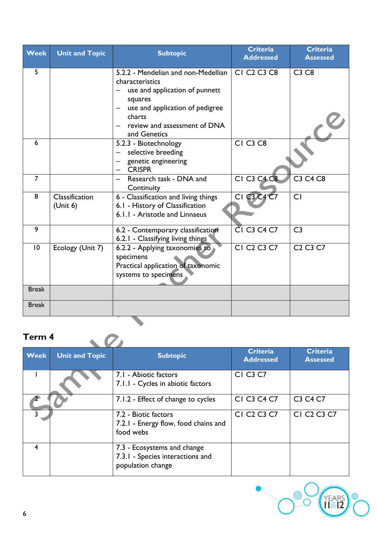| <b>Week</b>    | <b>Unit and Topic</b>      | <b>Subtopic</b>                                                                                                                                                                                    | Criteria<br><b>Addressed</b>                    | <b>Criteria</b><br><b>Assessed</b> |
|----------------|----------------------------|----------------------------------------------------------------------------------------------------------------------------------------------------------------------------------------------------|-------------------------------------------------|------------------------------------|
| 5              |                            | 5.2.2 - Mendelian and non-Medellian  <br>characteristics<br>use and application of punnett<br>squares<br>use and application of pedigree<br>charts<br>review and assessment of DNA<br>and Genetics | CI C <sub>2</sub> C <sub>3</sub> C <sub>8</sub> | C3 C8                              |
| 6              |                            | 5.2.3 - Biotechnology<br>selective breeding<br>$\equiv$<br>genetic engineering<br><b>CRISPR</b>                                                                                                    | CI C <sub>3</sub> C <sub>8</sub>                |                                    |
| $\overline{7}$ |                            | Research task - DNA and<br>$\equiv$<br>Continuity                                                                                                                                                  | <b>CI C3 C4 C8</b>                              | <b>C3 C4 C8</b>                    |
| 8              | Classification<br>(Unit 6) | 6 - Classification and living things<br>6.1 - History of Classification<br>6.1.1 - Aristotle and Linnaeus                                                                                          | CI C3 C4 C7                                     | CI                                 |
| $\overline{9}$ |                            | 6.2 - Contemporary classification<br>6.2.1 - Classifying living things                                                                                                                             | <b>CI C3 C4 C7</b>                              | C <sub>3</sub>                     |
| 10             | Ecology (Unit 7)           | 6.2.2 - Applying taxonomies to<br>specimens<br>Practical application of taxonomic<br>systems to specimens                                                                                          | CI C <sub>2</sub> C <sub>3</sub> C <sub>7</sub> | $C2 C3 C7$                         |
| <b>Break</b>   |                            |                                                                                                                                                                                                    |                                                 |                                    |
| <b>Break</b>   |                            |                                                                                                                                                                                                    |                                                 |                                    |
|                |                            |                                                                                                                                                                                                    |                                                 |                                    |

| Term 4      |                       |                                                                                      |                                                 |                                                 |  |  |
|-------------|-----------------------|--------------------------------------------------------------------------------------|-------------------------------------------------|-------------------------------------------------|--|--|
| <b>Week</b> | <b>Unit and Topic</b> | <b>Subtopic</b>                                                                      | <b>Criteria</b><br><b>Addressed</b>             | <b>Criteria</b><br><b>Assessed</b>              |  |  |
|             |                       | 7.1 - Abiotic factors<br>7.1.1 - Cycles in abiotic factors                           | <b>CI C3 C7</b>                                 |                                                 |  |  |
|             |                       | 7.1.2 - Effect of change to cycles                                                   | CI C3 C4 C7                                     | C3 C4 C7                                        |  |  |
|             |                       | 7.2 - Biotic factors<br>7.2.1 - Energy flow, food chains and<br>food webs            | CI C <sub>2</sub> C <sub>3</sub> C <sub>7</sub> | CI C <sub>2</sub> C <sub>3</sub> C <sub>7</sub> |  |  |
| 4           |                       | 7.3 - Ecosystems and change<br>7.3.1 - Species interactions and<br>population change |                                                 |                                                 |  |  |